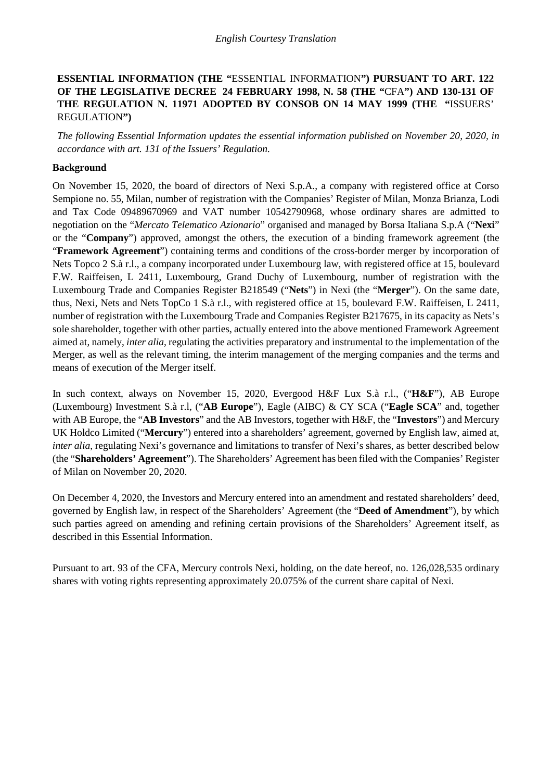# **ESSENTIAL INFORMATION (THE "**ESSENTIAL INFORMATION**") PURSUANT TO ART. 122 OF THE LEGISLATIVE DECREE 24 FEBRUARY 1998, N. 58 (THE "**CFA**") AND 130-131 OF THE REGULATION N. 11971 ADOPTED BY CONSOB ON 14 MAY 1999 (THE "**ISSUERS' REGULATION**")**

*The following Essential Information updates the essential information published on November 20, 2020, in accordance with art. 131 of the Issuers' Regulation.*

### **Background**

On November 15, 2020, the board of directors of Nexi S.p.A., a company with registered office at Corso Sempione no. 55, Milan, number of registration with the Companies' Register of Milan, Monza Brianza, Lodi and Tax Code 09489670969 and VAT number 10542790968, whose ordinary shares are admitted to negotiation on the "*Mercato Telematico Azionario*" organised and managed by Borsa Italiana S.p.A ("**Nexi**" or the "**Company**") approved, amongst the others, the execution of a binding framework agreement (the "**Framework Agreement**") containing terms and conditions of the cross-border merger by incorporation of Nets Topco 2 S.à r.l., a company incorporated under Luxembourg law, with registered office at 15, boulevard F.W. Raiffeisen, L 2411, Luxembourg, Grand Duchy of Luxembourg, number of registration with the Luxembourg Trade and Companies Register B218549 ("**Nets**") in Nexi (the "**Merger**"). On the same date, thus, Nexi, Nets and Nets TopCo 1 S.à r.l., with registered office at 15, boulevard F.W. Raiffeisen, L 2411, number of registration with the Luxembourg Trade and Companies Register B217675, in its capacity as Nets's sole shareholder, together with other parties, actually entered into the above mentioned Framework Agreement aimed at, namely, *inter alia*, regulating the activities preparatory and instrumental to the implementation of the Merger, as well as the relevant timing, the interim management of the merging companies and the terms and means of execution of the Merger itself.

In such context, always on November 15, 2020, Evergood H&F Lux S.à r.l., ("**H&F**"), AB Europe (Luxembourg) Investment S.à r.l, ("**AB Europe**"), Eagle (AIBC) & CY SCA ("**Eagle SCA**" and, together with AB Europe, the "**AB Investors**" and the AB Investors, together with H&F, the "**Investors**") and Mercury UK Holdco Limited ("**Mercury**") entered into a shareholders' agreement, governed by English law, aimed at, *inter alia*, regulating Nexi's governance and limitations to transfer of Nexi's shares, as better described below (the "**Shareholders' Agreement**"). The Shareholders' Agreement has been filed with the Companies' Register of Milan on November 20, 2020.

On December 4, 2020, the Investors and Mercury entered into an amendment and restated shareholders' deed, governed by English law, in respect of the Shareholders' Agreement (the "**Deed of Amendment**"), by which such parties agreed on amending and refining certain provisions of the Shareholders' Agreement itself, as described in this Essential Information.

Pursuant to art. 93 of the CFA, Mercury controls Nexi, holding, on the date hereof, no. 126,028,535 ordinary shares with voting rights representing approximately 20.075% of the current share capital of Nexi.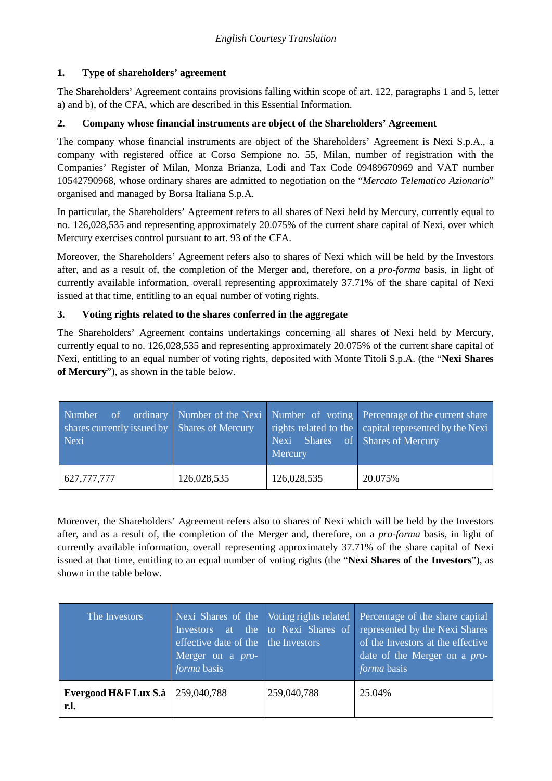# **1. Type of shareholders' agreement**

The Shareholders' Agreement contains provisions falling within scope of art. 122, paragraphs 1 and 5, letter a) and b), of the CFA, which are described in this Essential Information.

# **2. Company whose financial instruments are object of the Shareholders' Agreement**

The company whose financial instruments are object of the Shareholders' Agreement is Nexi S.p.A., a company with registered office at Corso Sempione no. 55, Milan, number of registration with the Companies' Register of Milan, Monza Brianza, Lodi and Tax Code 09489670969 and VAT number 10542790968, whose ordinary shares are admitted to negotiation on the "*Mercato Telematico Azionario*" organised and managed by Borsa Italiana S.p.A.

In particular, the Shareholders' Agreement refers to all shares of Nexi held by Mercury, currently equal to no. 126,028,535 and representing approximately 20.075% of the current share capital of Nexi, over which Mercury exercises control pursuant to art. 93 of the CFA.

Moreover, the Shareholders' Agreement refers also to shares of Nexi which will be held by the Investors after, and as a result of, the completion of the Merger and, therefore, on a *pro-forma* basis, in light of currently available information, overall representing approximately 37.71% of the share capital of Nexi issued at that time, entitling to an equal number of voting rights.

# **3. Voting rights related to the shares conferred in the aggregate**

The Shareholders' Agreement contains undertakings concerning all shares of Nexi held by Mercury, currently equal to no. 126,028,535 and representing approximately 20.075% of the current share capital of Nexi, entitling to an equal number of voting rights, deposited with Monte Titoli S.p.A. (the "**Nexi Shares of Mercury**"), as shown in the table below.

| Number of<br>shares currently issued by Shares of Mercury<br>Nexi |             | Nexi Shares of Shares of Mercury<br>Mercury | ordinary Number of the Nexi Number of voting Percentage of the current share<br>rights related to the capital represented by the Nexi |
|-------------------------------------------------------------------|-------------|---------------------------------------------|---------------------------------------------------------------------------------------------------------------------------------------|
| 627,777,777                                                       | 126,028,535 | 126,028,535                                 | 20.075%                                                                                                                               |

Moreover, the Shareholders' Agreement refers also to shares of Nexi which will be held by the Investors after, and as a result of, the completion of the Merger and, therefore, on a *pro-forma* basis, in light of currently available information, overall representing approximately 37.71% of the share capital of Nexi issued at that time, entitling to an equal number of voting rights (the "**Nexi Shares of the Investors**"), as shown in the table below.

| The Investors                | effective date of the the Investors<br>Merger on a <i>pro-</i><br>forma basis |             | Nexi Shares of the Voting rights related Percentage of the share capital<br>Investors at the to Nexi Shares of represented by the Nexi Shares<br>of the Investors at the effective<br>date of the Merger on a <i>pro-</i><br>forma basis |
|------------------------------|-------------------------------------------------------------------------------|-------------|------------------------------------------------------------------------------------------------------------------------------------------------------------------------------------------------------------------------------------------|
| Evergood H&F Lux S.à<br>r.l. | 259,040,788                                                                   | 259,040,788 | 25.04%                                                                                                                                                                                                                                   |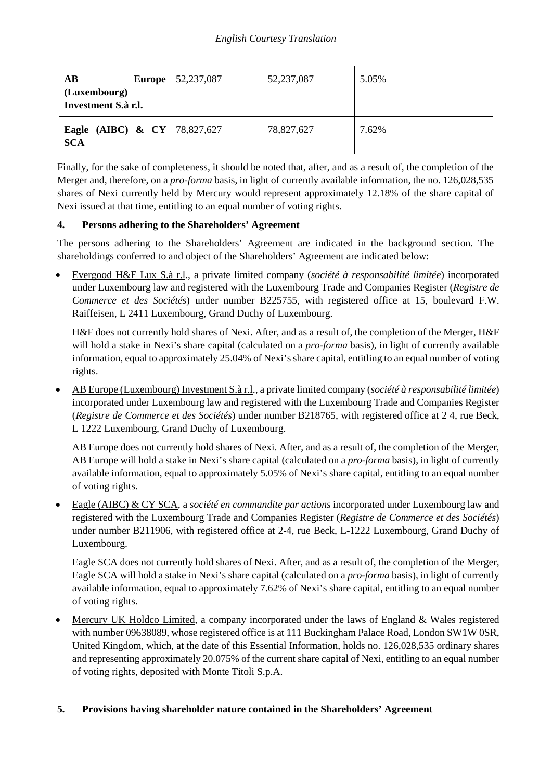| AB<br><b>Europe</b><br>(Luxembourg)<br>Investment S.à r.l. | 52,237,087 | 52,237,087 | 5.05% |
|------------------------------------------------------------|------------|------------|-------|
| <b>Eagle</b> (AIBC) & CY   78,827,627<br><b>SCA</b>        |            | 78,827,627 | 7.62% |

Finally, for the sake of completeness, it should be noted that, after, and as a result of, the completion of the Merger and, therefore, on a *pro-forma* basis, in light of currently available information, the no. 126,028,535 shares of Nexi currently held by Mercury would represent approximately 12.18% of the share capital of Nexi issued at that time, entitling to an equal number of voting rights.

# **4. Persons adhering to the Shareholders' Agreement**

The persons adhering to the Shareholders' Agreement are indicated in the background section. The shareholdings conferred to and object of the Shareholders' Agreement are indicated below:

• Evergood H&F Lux S.à r.l., a private limited company (*société à responsabilité limitée*) incorporated under Luxembourg law and registered with the Luxembourg Trade and Companies Register (*Registre de Commerce et des Sociétés*) under number B225755, with registered office at 15, boulevard F.W. Raiffeisen, L 2411 Luxembourg, Grand Duchy of Luxembourg.

H&F does not currently hold shares of Nexi. After, and as a result of, the completion of the Merger, H&F will hold a stake in Nexi's share capital (calculated on a *pro-forma* basis), in light of currently available information, equal to approximately 25.04% of Nexi's share capital, entitling to an equal number of voting rights.

• AB Europe (Luxembourg) Investment S.à r.l., a private limited company (*société à responsabilité limitée*) incorporated under Luxembourg law and registered with the Luxembourg Trade and Companies Register (*Registre de Commerce et des Sociétés*) under number B218765, with registered office at 2 4, rue Beck, L 1222 Luxembourg, Grand Duchy of Luxembourg.

AB Europe does not currently hold shares of Nexi. After, and as a result of, the completion of the Merger, AB Europe will hold a stake in Nexi's share capital (calculated on a *pro-forma* basis), in light of currently available information, equal to approximately 5.05% of Nexi's share capital, entitling to an equal number of voting rights.

• Eagle (AIBC) & CY SCA, a *société en commandite par actions* incorporated under Luxembourg law and registered with the Luxembourg Trade and Companies Register (*Registre de Commerce et des Sociétés*) under number B211906, with registered office at 2-4, rue Beck, L-1222 Luxembourg, Grand Duchy of Luxembourg.

Eagle SCA does not currently hold shares of Nexi. After, and as a result of, the completion of the Merger, Eagle SCA will hold a stake in Nexi's share capital (calculated on a *pro-forma* basis), in light of currently available information, equal to approximately 7.62% of Nexi's share capital, entitling to an equal number of voting rights.

• Mercury UK Holdco Limited, a company incorporated under the laws of England & Wales registered with number 09638089, whose registered office is at 111 Buckingham Palace Road, London SW1W 0SR, United Kingdom, which, at the date of this Essential Information, holds no. 126,028,535 ordinary shares and representing approximately 20.075% of the current share capital of Nexi, entitling to an equal number of voting rights, deposited with Monte Titoli S.p.A.

## **5. Provisions having shareholder nature contained in the Shareholders' Agreement**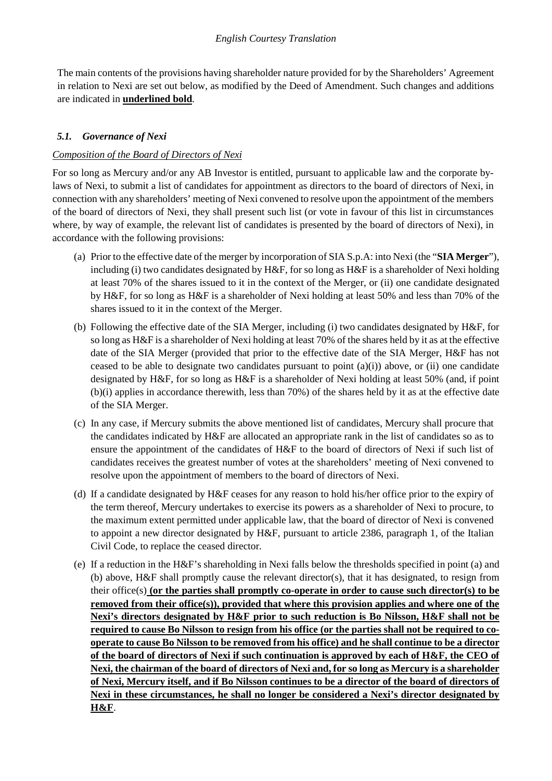The main contents of the provisions having shareholder nature provided for by the Shareholders' Agreement in relation to Nexi are set out below, as modified by the Deed of Amendment. Such changes and additions are indicated in **underlined bold**.

# <span id="page-3-0"></span>*5.1. Governance of Nexi*

## *Composition of the Board of Directors of Nexi*

For so long as Mercury and/or any AB Investor is entitled, pursuant to applicable law and the corporate bylaws of Nexi, to submit a list of candidates for appointment as directors to the board of directors of Nexi, in connection with any shareholders' meeting of Nexi convened to resolve upon the appointment of the members of the board of directors of Nexi, they shall present such list (or vote in favour of this list in circumstances where, by way of example, the relevant list of candidates is presented by the board of directors of Nexi), in accordance with the following provisions:

- (a) Prior to the effective date of the merger by incorporation of SIA S.p.A: into Nexi (the "**SIA Merger**"), including (i) two candidates designated by H&F, for so long as H&F is a shareholder of Nexi holding at least 70% of the shares issued to it in the context of the Merger, or (ii) one candidate designated by H&F, for so long as H&F is a shareholder of Nexi holding at least 50% and less than 70% of the shares issued to it in the context of the Merger.
- (b) Following the effective date of the SIA Merger, including (i) two candidates designated by H&F, for so long as H&F is a shareholder of Nexi holding at least 70% of the shares held by it as at the effective date of the SIA Merger (provided that prior to the effective date of the SIA Merger, H&F has not ceased to be able to designate two candidates pursuant to point  $(a)(i)$  above, or (ii) one candidate designated by H&F, for so long as H&F is a shareholder of Nexi holding at least 50% (and, if point (b)(i) applies in accordance therewith, less than 70%) of the shares held by it as at the effective date of the SIA Merger.
- (c) In any case, if Mercury submits the above mentioned list of candidates, Mercury shall procure that the candidates indicated by H&F are allocated an appropriate rank in the list of candidates so as to ensure the appointment of the candidates of H&F to the board of directors of Nexi if such list of candidates receives the greatest number of votes at the shareholders' meeting of Nexi convened to resolve upon the appointment of members to the board of directors of Nexi.
- (d) If a candidate designated by H&F ceases for any reason to hold his/her office prior to the expiry of the term thereof, Mercury undertakes to exercise its powers as a shareholder of Nexi to procure, to the maximum extent permitted under applicable law, that the board of director of Nexi is convened to appoint a new director designated by H&F, pursuant to article 2386, paragraph 1, of the Italian Civil Code, to replace the ceased director.
- (e) If a reduction in the H&F's shareholding in Nexi falls below the thresholds specified in point (a) and (b) above,  $H \& F$  shall promptly cause the relevant director(s), that it has designated, to resign from their office(s) **(or the parties shall promptly co-operate in order to cause such director(s) to be removed from their office(s)), provided that where this provision applies and where one of the Nexi's directors designated by H&F prior to such reduction is Bo Nilsson, H&F shall not be required to cause Bo Nilsson to resign from his office (or the parties shall not be required to cooperate to cause Bo Nilsson to be removed from his office) and he shall continue to be a director of the board of directors of Nexi if such continuation is approved by each of H&F, the CEO of Nexi, the chairman of the board of directors of Nexi and, for so long as Mercury is a shareholder of Nexi, Mercury itself, and if Bo Nilsson continues to be a director of the board of directors of Nexi in these circumstances, he shall no longer be considered a Nexi's director designated by H&F**.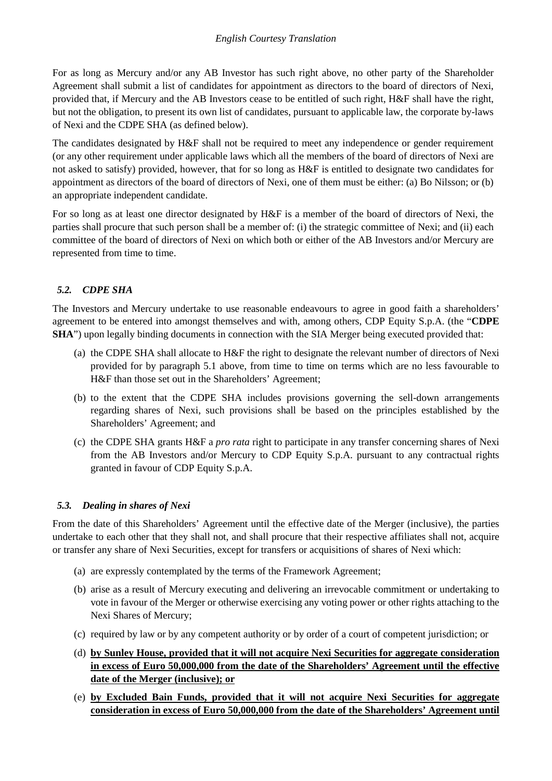For as long as Mercury and/or any AB Investor has such right above, no other party of the Shareholder Agreement shall submit a list of candidates for appointment as directors to the board of directors of Nexi, provided that, if Mercury and the AB Investors cease to be entitled of such right, H&F shall have the right, but not the obligation, to present its own list of candidates, pursuant to applicable law, the corporate by-laws of Nexi and the CDPE SHA (as defined below).

The candidates designated by H&F shall not be required to meet any independence or gender requirement (or any other requirement under applicable laws which all the members of the board of directors of Nexi are not asked to satisfy) provided, however, that for so long as H&F is entitled to designate two candidates for appointment as directors of the board of directors of Nexi, one of them must be either: (a) Bo Nilsson; or (b) an appropriate independent candidate.

For so long as at least one director designated by H&F is a member of the board of directors of Nexi, the parties shall procure that such person shall be a member of: (i) the strategic committee of Nexi; and (ii) each committee of the board of directors of Nexi on which both or either of the AB Investors and/or Mercury are represented from time to time.

# *5.2. CDPE SHA*

The Investors and Mercury undertake to use reasonable endeavours to agree in good faith a shareholders' agreement to be entered into amongst themselves and with, among others, CDP Equity S.p.A. (the "**CDPE SHA**") upon legally binding documents in connection with the SIA Merger being executed provided that:

- (a) the CDPE SHA shall allocate to H&F the right to designate the relevant number of directors of Nexi provided for by paragraph [5.1](#page-3-0) above, from time to time on terms which are no less favourable to H&F than those set out in the Shareholders' Agreement;
- (b) to the extent that the CDPE SHA includes provisions governing the sell-down arrangements regarding shares of Nexi, such provisions shall be based on the principles established by the Shareholders' Agreement; and
- (c) the CDPE SHA grants H&F a *pro rata* right to participate in any transfer concerning shares of Nexi from the AB Investors and/or Mercury to CDP Equity S.p.A. pursuant to any contractual rights granted in favour of CDP Equity S.p.A.

# *5.3. Dealing in shares of Nexi*

From the date of this Shareholders' Agreement until the effective date of the Merger (inclusive), the parties undertake to each other that they shall not, and shall procure that their respective affiliates shall not, acquire or transfer any share of Nexi Securities, except for transfers or acquisitions of shares of Nexi which:

- (a) are expressly contemplated by the terms of the Framework Agreement;
- (b) arise as a result of Mercury executing and delivering an irrevocable commitment or undertaking to vote in favour of the Merger or otherwise exercising any voting power or other rights attaching to the Nexi Shares of Mercury;
- (c) required by law or by any competent authority or by order of a court of competent jurisdiction; or
- (d) **by Sunley House, provided that it will not acquire Nexi Securities for aggregate consideration in excess of Euro 50,000,000 from the date of the Shareholders' Agreement until the effective date of the Merger (inclusive); or**
- (e) **by Excluded Bain Funds, provided that it will not acquire Nexi Securities for aggregate consideration in excess of Euro 50,000,000 from the date of the Shareholders' Agreement until**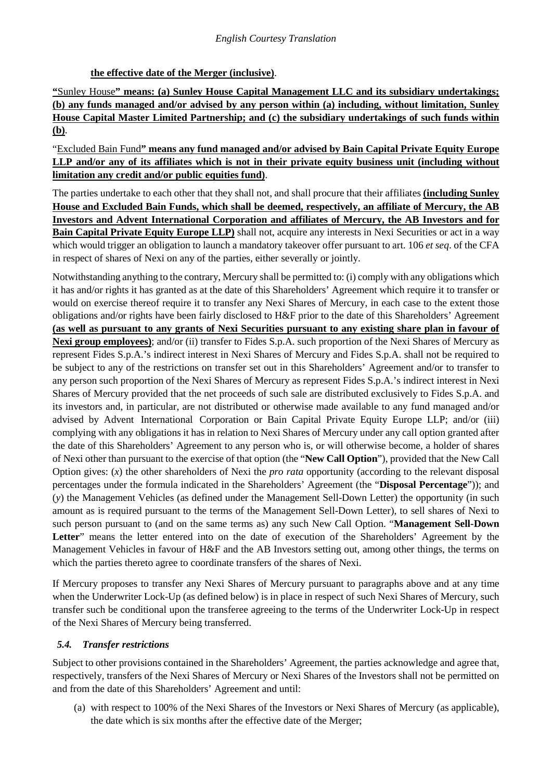## **the effective date of the Merger (inclusive)**.

**"**Sunley House**" means: (a) Sunley House Capital Management LLC and its subsidiary undertakings; (b) any funds managed and/or advised by any person within (a) including, without limitation, Sunley House Capital Master Limited Partnership; and (c) the subsidiary undertakings of such funds within (b)**.

"Excluded Bain Fund**" means any fund managed and/or advised by Bain Capital Private Equity Europe LLP and/or any of its affiliates which is not in their private equity business unit (including without limitation any credit and/or public equities fund)**.

The parties undertake to each other that they shall not, and shall procure that their affiliates **(including Sunley House and Excluded Bain Funds, which shall be deemed, respectively, an affiliate of Mercury, the AB Investors and Advent International Corporation and affiliates of Mercury, the AB Investors and for Bain Capital Private Equity Europe LLP)** shall not, acquire any interests in Nexi Securities or act in a way which would trigger an obligation to launch a mandatory takeover offer pursuant to art. 106 *et seq*. of the CFA in respect of shares of Nexi on any of the parties, either severally or jointly.

Notwithstanding anything to the contrary, Mercury shall be permitted to: (i) comply with any obligations which it has and/or rights it has granted as at the date of this Shareholders' Agreement which require it to transfer or would on exercise thereof require it to transfer any Nexi Shares of Mercury, in each case to the extent those obligations and/or rights have been fairly disclosed to H&F prior to the date of this Shareholders' Agreement **(as well as pursuant to any grants of Nexi Securities pursuant to any existing share plan in favour of Nexi group employees)**; and/or (ii) transfer to Fides S.p.A. such proportion of the Nexi Shares of Mercury as represent Fides S.p.A.'s indirect interest in Nexi Shares of Mercury and Fides S.p.A. shall not be required to be subject to any of the restrictions on transfer set out in this Shareholders' Agreement and/or to transfer to any person such proportion of the Nexi Shares of Mercury as represent Fides S.p.A.'s indirect interest in Nexi Shares of Mercury provided that the net proceeds of such sale are distributed exclusively to Fides S.p.A. and its investors and, in particular, are not distributed or otherwise made available to any fund managed and/or advised by Advent International Corporation or Bain Capital Private Equity Europe LLP; and/or (iii) complying with any obligations it has in relation to Nexi Shares of Mercury under any call option granted after the date of this Shareholders' Agreement to any person who is, or will otherwise become, a holder of shares of Nexi other than pursuant to the exercise of that option (the "**New Call Option**"), provided that the New Call Option gives: (*x*) the other shareholders of Nexi the *pro rata* opportunity (according to the relevant disposal percentages under the formula indicated in the Shareholders' Agreement (the "**Disposal Percentage**")); and (*y*) the Management Vehicles (as defined under the Management Sell-Down Letter) the opportunity (in such amount as is required pursuant to the terms of the Management Sell-Down Letter), to sell shares of Nexi to such person pursuant to (and on the same terms as) any such New Call Option. "**Management Sell-Down Letter**" means the letter entered into on the date of execution of the Shareholders' Agreement by the Management Vehicles in favour of H&F and the AB Investors setting out, among other things, the terms on which the parties thereto agree to coordinate transfers of the shares of Nexi.

If Mercury proposes to transfer any Nexi Shares of Mercury pursuant to paragraphs above and at any time when the Underwriter Lock-Up (as defined below) is in place in respect of such Nexi Shares of Mercury, such transfer such be conditional upon the transferee agreeing to the terms of the Underwriter Lock-Up in respect of the Nexi Shares of Mercury being transferred.

## <span id="page-5-0"></span>*5.4. Transfer restrictions*

Subject to other provisions contained in the Shareholders' Agreement, the parties acknowledge and agree that, respectively, transfers of the Nexi Shares of Mercury or Nexi Shares of the Investors shall not be permitted on and from the date of this Shareholders' Agreement and until:

(a) with respect to 100% of the Nexi Shares of the Investors or Nexi Shares of Mercury (as applicable), the date which is six months after the effective date of the Merger;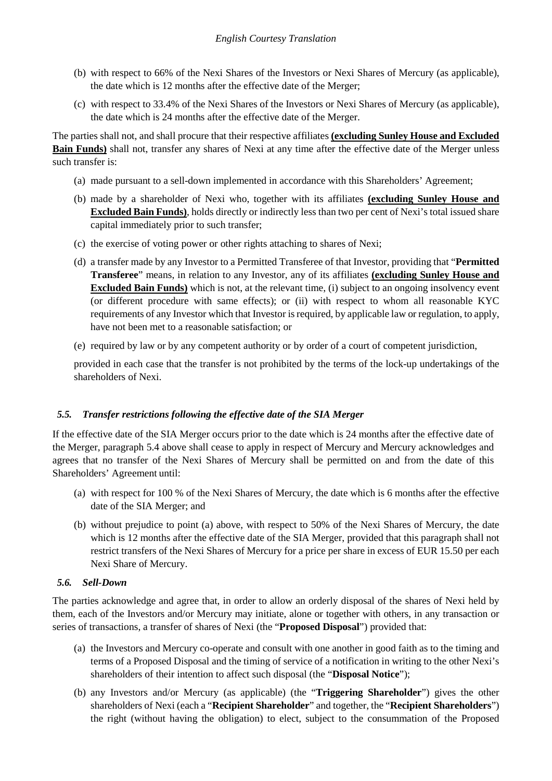- (b) with respect to 66% of the Nexi Shares of the Investors or Nexi Shares of Mercury (as applicable), the date which is 12 months after the effective date of the Merger;
- (c) with respect to 33.4% of the Nexi Shares of the Investors or Nexi Shares of Mercury (as applicable), the date which is 24 months after the effective date of the Merger.

The parties shall not, and shall procure that their respective affiliates **(excluding Sunley House and Excluded Bain Funds)** shall not, transfer any shares of Nexi at any time after the effective date of the Merger unless such transfer is:

- (a) made pursuant to a sell-down implemented in accordance with this Shareholders' Agreement;
- (b) made by a shareholder of Nexi who, together with its affiliates **(excluding Sunley House and Excluded Bain Funds)**, holds directly or indirectly less than two per cent of Nexi's total issued share capital immediately prior to such transfer;
- (c) the exercise of voting power or other rights attaching to shares of Nexi;
- (d) a transfer made by any Investor to a Permitted Transferee of that Investor, providing that "**Permitted Transferee**" means, in relation to any Investor, any of its affiliates **(excluding Sunley House and Excluded Bain Funds)** which is not, at the relevant time, (i) subject to an ongoing insolvency event (or different procedure with same effects); or (ii) with respect to whom all reasonable KYC requirements of any Investor which that Investor is required, by applicable law or regulation, to apply, have not been met to a reasonable satisfaction; or
- (e) required by law or by any competent authority or by order of a court of competent jurisdiction,

provided in each case that the transfer is not prohibited by the terms of the lock-up undertakings of the shareholders of Nexi.

## *5.5. Transfer restrictions following the effective date of the SIA Merger*

If the effective date of the SIA Merger occurs prior to the date which is 24 months after the effective date of the Merger, paragraph [5.4](#page-5-0) above shall cease to apply in respect of Mercury and Mercury acknowledges and agrees that no transfer of the Nexi Shares of Mercury shall be permitted on and from the date of this Shareholders' Agreement until:

- (a) with respect for 100 % of the Nexi Shares of Mercury, the date which is 6 months after the effective date of the SIA Merger; and
- (b) without prejudice to point (a) above, with respect to 50% of the Nexi Shares of Mercury, the date which is 12 months after the effective date of the SIA Merger, provided that this paragraph shall not restrict transfers of the Nexi Shares of Mercury for a price per share in excess of EUR 15.50 per each Nexi Share of Mercury.

#### *5.6. Sell-Down*

The parties acknowledge and agree that, in order to allow an orderly disposal of the shares of Nexi held by them, each of the Investors and/or Mercury may initiate, alone or together with others, in any transaction or series of transactions, a transfer of shares of Nexi (the "**Proposed Disposal**") provided that:

- (a) the Investors and Mercury co-operate and consult with one another in good faith as to the timing and terms of a Proposed Disposal and the timing of service of a notification in writing to the other Nexi's shareholders of their intention to affect such disposal (the "**Disposal Notice**");
- (b) any Investors and/or Mercury (as applicable) (the "**Triggering Shareholder**") gives the other shareholders of Nexi (each a "**Recipient Shareholder**" and together, the "**Recipient Shareholders**") the right (without having the obligation) to elect, subject to the consummation of the Proposed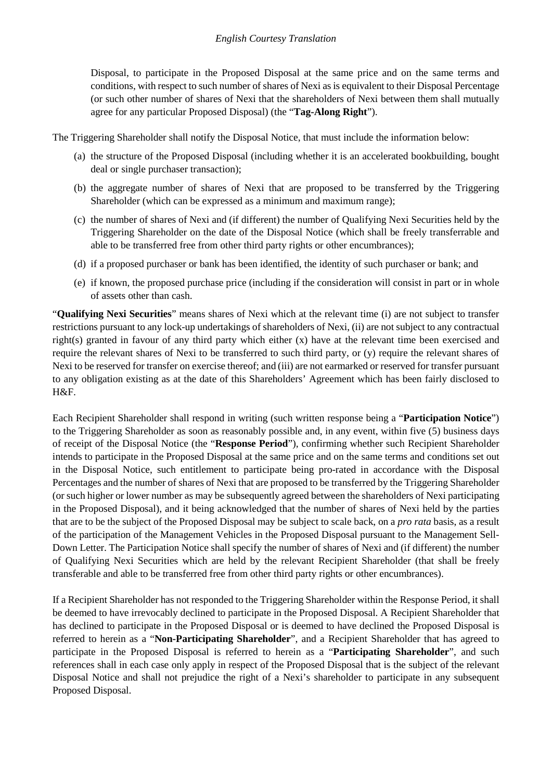### *English Courtesy Translation*

Disposal, to participate in the Proposed Disposal at the same price and on the same terms and conditions, with respect to such number of shares of Nexi as is equivalent to their Disposal Percentage (or such other number of shares of Nexi that the shareholders of Nexi between them shall mutually agree for any particular Proposed Disposal) (the "**Tag-Along Right**").

The Triggering Shareholder shall notify the Disposal Notice, that must include the information below:

- (a) the structure of the Proposed Disposal (including whether it is an accelerated bookbuilding, bought deal or single purchaser transaction);
- (b) the aggregate number of shares of Nexi that are proposed to be transferred by the Triggering Shareholder (which can be expressed as a minimum and maximum range);
- (c) the number of shares of Nexi and (if different) the number of Qualifying Nexi Securities held by the Triggering Shareholder on the date of the Disposal Notice (which shall be freely transferrable and able to be transferred free from other third party rights or other encumbrances);
- (d) if a proposed purchaser or bank has been identified, the identity of such purchaser or bank; and
- (e) if known, the proposed purchase price (including if the consideration will consist in part or in whole of assets other than cash.

"**Qualifying Nexi Securities**" means shares of Nexi which at the relevant time (i) are not subject to transfer restrictions pursuant to any lock-up undertakings of shareholders of Nexi, (ii) are not subject to any contractual right(s) granted in favour of any third party which either (x) have at the relevant time been exercised and require the relevant shares of Nexi to be transferred to such third party, or (y) require the relevant shares of Nexi to be reserved for transfer on exercise thereof; and (iii) are not earmarked or reserved for transfer pursuant to any obligation existing as at the date of this Shareholders' Agreement which has been fairly disclosed to H&F.

Each Recipient Shareholder shall respond in writing (such written response being a "**Participation Notice**") to the Triggering Shareholder as soon as reasonably possible and, in any event, within five (5) business days of receipt of the Disposal Notice (the "**Response Period**"), confirming whether such Recipient Shareholder intends to participate in the Proposed Disposal at the same price and on the same terms and conditions set out in the Disposal Notice, such entitlement to participate being pro-rated in accordance with the Disposal Percentages and the number of shares of Nexi that are proposed to be transferred by the Triggering Shareholder (or such higher or lower number as may be subsequently agreed between the shareholders of Nexi participating in the Proposed Disposal), and it being acknowledged that the number of shares of Nexi held by the parties that are to be the subject of the Proposed Disposal may be subject to scale back, on a *pro rata* basis, as a result of the participation of the Management Vehicles in the Proposed Disposal pursuant to the Management Sell-Down Letter. The Participation Notice shall specify the number of shares of Nexi and (if different) the number of Qualifying Nexi Securities which are held by the relevant Recipient Shareholder (that shall be freely transferable and able to be transferred free from other third party rights or other encumbrances).

If a Recipient Shareholder has not responded to the Triggering Shareholder within the Response Period, it shall be deemed to have irrevocably declined to participate in the Proposed Disposal. A Recipient Shareholder that has declined to participate in the Proposed Disposal or is deemed to have declined the Proposed Disposal is referred to herein as a "**Non-Participating Shareholder**", and a Recipient Shareholder that has agreed to participate in the Proposed Disposal is referred to herein as a "**Participating Shareholder**", and such references shall in each case only apply in respect of the Proposed Disposal that is the subject of the relevant Disposal Notice and shall not prejudice the right of a Nexi's shareholder to participate in any subsequent Proposed Disposal.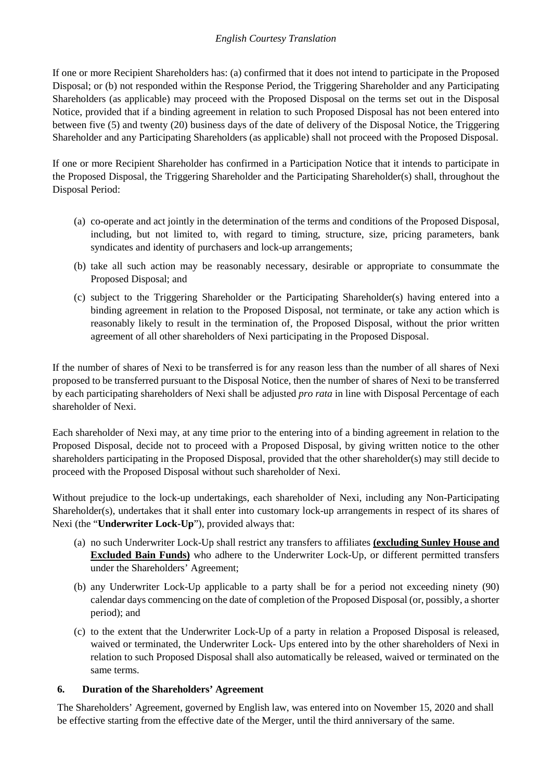## *English Courtesy Translation*

If one or more Recipient Shareholders has: (a) confirmed that it does not intend to participate in the Proposed Disposal; or (b) not responded within the Response Period, the Triggering Shareholder and any Participating Shareholders (as applicable) may proceed with the Proposed Disposal on the terms set out in the Disposal Notice, provided that if a binding agreement in relation to such Proposed Disposal has not been entered into between five (5) and twenty (20) business days of the date of delivery of the Disposal Notice, the Triggering Shareholder and any Participating Shareholders (as applicable) shall not proceed with the Proposed Disposal.

If one or more Recipient Shareholder has confirmed in a Participation Notice that it intends to participate in the Proposed Disposal, the Triggering Shareholder and the Participating Shareholder(s) shall, throughout the Disposal Period:

- (a) co-operate and act jointly in the determination of the terms and conditions of the Proposed Disposal, including, but not limited to, with regard to timing, structure, size, pricing parameters, bank syndicates and identity of purchasers and lock-up arrangements;
- (b) take all such action may be reasonably necessary, desirable or appropriate to consummate the Proposed Disposal; and
- (c) subject to the Triggering Shareholder or the Participating Shareholder(s) having entered into a binding agreement in relation to the Proposed Disposal, not terminate, or take any action which is reasonably likely to result in the termination of, the Proposed Disposal, without the prior written agreement of all other shareholders of Nexi participating in the Proposed Disposal.

If the number of shares of Nexi to be transferred is for any reason less than the number of all shares of Nexi proposed to be transferred pursuant to the Disposal Notice, then the number of shares of Nexi to be transferred by each participating shareholders of Nexi shall be adjusted *pro rata* in line with Disposal Percentage of each shareholder of Nexi.

Each shareholder of Nexi may, at any time prior to the entering into of a binding agreement in relation to the Proposed Disposal, decide not to proceed with a Proposed Disposal, by giving written notice to the other shareholders participating in the Proposed Disposal, provided that the other shareholder(s) may still decide to proceed with the Proposed Disposal without such shareholder of Nexi.

Without prejudice to the lock-up undertakings, each shareholder of Nexi, including any Non-Participating Shareholder(s), undertakes that it shall enter into customary lock-up arrangements in respect of its shares of Nexi (the "**Underwriter Lock-Up**"), provided always that:

- (a) no such Underwriter Lock-Up shall restrict any transfers to affiliates **(excluding Sunley House and Excluded Bain Funds)** who adhere to the Underwriter Lock-Up, or different permitted transfers under the Shareholders' Agreement;
- (b) any Underwriter Lock-Up applicable to a party shall be for a period not exceeding ninety (90) calendar days commencing on the date of completion of the Proposed Disposal (or, possibly, a shorter period); and
- (c) to the extent that the Underwriter Lock-Up of a party in relation a Proposed Disposal is released, waived or terminated, the Underwriter Lock- Ups entered into by the other shareholders of Nexi in relation to such Proposed Disposal shall also automatically be released, waived or terminated on the same terms.

## **6. Duration of the Shareholders' Agreement**

The Shareholders' Agreement, governed by English law, was entered into on November 15, 2020 and shall be effective starting from the effective date of the Merger, until the third anniversary of the same.